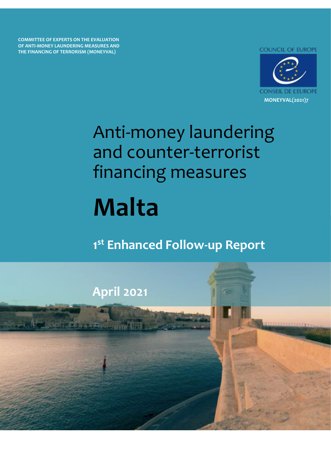**COMMITTEE OF EXPERTS ON THE EVALUATION OF ANTI-MONEY LAUNDERING MEASURES AND THE FINANCING OF TERRORISM (MONEYVAL)**

**COUNCIL OF EUROPE** 



# Anti-money laundering and counter-terrorist financing measures

# **F O W-U P O W-U P O R Malta**

# **1 st Enhanced Follow-up Report**

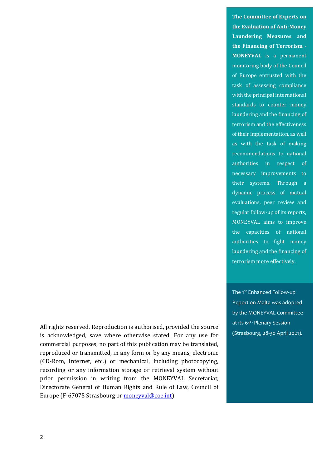**The Committee of Experts on the Evaluation of Anti-Money Laundering Measures and the Financing of Terrorism** - **MONEYVAL** is a permanent monitoring body of the Council of Europe entrusted with the task of assessing compliance with the principal international standards to counter money laundering and the financing of terrorism and the effectiveness of their implementation, as well as with the task of making recommendations to national authorities in respect of necessary improvements to their systems. Through a dynamic process of mutual evaluations, peer review and regular follow-up of its reports, MONEYVAL aims to improve the capacities of national authorities to fight money laundering and the financing of terrorism more effectively.

The 1<sup>st</sup> Enhanced Follow-up Report on Malta was adopted by the MONEYVAL Committee at its 61<sup>st</sup> Plenary Session (Strasbourg, 28-30 April 2021).

All rights reserved. Reproduction is authorised, provided the source is acknowledged, save where otherwise stated. For any use for commercial purposes, no part of this publication may be translated, reproduced or transmitted, in any form or by any means, electronic (CD-Rom, Internet, etc.) or mechanical, including photocopying, recording or any information storage or retrieval system without prior permission in writing from the MONEYVAL Secretariat, Directorate General of Human Rights and Rule of Law, Council of Europe (F-67075 Strasbourg o[r moneyval@coe.int\)](mailto:moneyval@coe.int)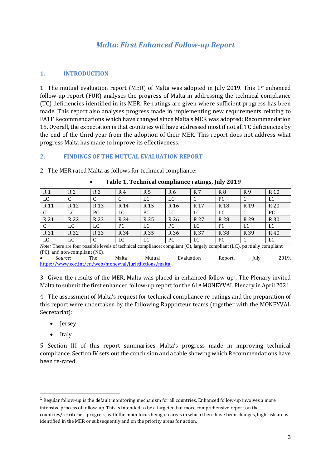# *Malta: First Enhanced Follow-up Report*

### **1. INTRODUCTION**

1. The mutual evaluation report (MER) of Malta was adopted in July 2019. This 1st enhanced follow-up report (FUR) analyses the progress of Malta in addressing the technical compliance (TC) deficiencies identified in its MER. Re-ratings are given where sufficient progress has been made. This report also analyses progress made in implementing new requirements relating to FATF Recommendations which have changed since Malta's MER was adopted: Recommendation 15. Overall, the expectation is that countries will have addressed most if not all TC deficiencies by the end of the third year from the adoption of their MER. This report does not address what progress Malta has made to improve its effectiveness.

#### **2. FINDINGS OF THE MUTUAL EVALUATION REPORT**

2. The MER rated Malta as follows for technical compliance:

| R <sub>1</sub> | R <sub>2</sub>  | R <sub>3</sub>  | R 4  | R 5             | R6   | R 7             | R <sub>8</sub> | R9              | R <sub>10</sub> |
|----------------|-----------------|-----------------|------|-----------------|------|-----------------|----------------|-----------------|-----------------|
| LC             | ◡               | C               | ◡    | LC              | LC   | C               | PC             | U               | LC              |
| R 11           | R <sub>12</sub> | R <sub>13</sub> | R 14 | R <sub>15</sub> | R 16 | R <sub>17</sub> | R 18           | R <sub>19</sub> | R 20            |
| C              | LC              | PC              | LC   | PC              | LC   | LC              | LC             | ◡               | PC              |
| R 21           | R 22            | R 23            | R 24 | R 25            | R 26 | R 27            | R 28           | R 29            | R 30            |
| C              | LC              | LC              | PC   | LC              | PC   | LC              | РC             | LC              | LC              |
| R 31           | R 32            | R 33            | R 34 | R 35            | R 36 | R 37            | R 38           | R 39            | R 40            |
| LC             | LC              | C               | LC   | LC              | PC   | LC              | PC             | u               | LC              |

#### • **Table 1. Technical compliance ratings, July 2019**

*Note:* There are four possible levels of technical compliance: compliant (C), largely compliant (LC), partially compliant (PC), and non-compliant (NC).

• *Source*: The Malta Mutual Evaluation Report, July 2019, <https://www.coe.int/en/web/moneyval/jurisdictions/malta> .

3. Given the results of the MER, Malta was placed in enhanced follow-up1. The Plenary invited Malta to submit the first enhanced follow-up report for the 61st MONEYVAL Plenary in April 2021.

4. The assessment of Malta's request for technical compliance re-ratings and the preparation of this report were undertaken by the following Rapporteur teams (together with the MONEYVAL Secretariat):

- Jersey
- Italy

5. Section III of this report summarises Malta's progress made in improving technical compliance. Section IV sets out the conclusion and a table showing which Recommendations have been re-rated.

 $1$  Regular follow-up is the default monitoring mechanism for all countries. Enhanced follow-up involves a more intensive process of follow-up. This is intended to be a targeted but more comprehensive report on the countries/territories' progress, with the main focus being on areas in which there have been changes, high risk areas identified in the MER or subsequently and on the priority areas for action.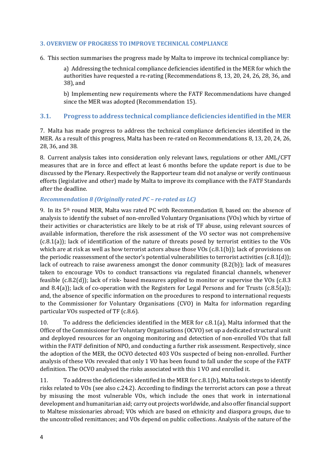#### **3. OVERVIEW OF PROGRESS TO IMPROVE TECHNICAL COMPLIANCE**

6. This section summarises the progress made by Malta to improve its technical compliance by:

a) Addressing the technical compliance deficiencies identified in the MER for which the authorities have requested a re-rating (Recommendations 8, 13, 20, 24, 26, 28, 36, and 38), and

b) Implementing new requirements where the FATF Recommendations have changed since the MER was adopted (Recommendation 15).

#### **3.1. Progress to address technical compliance deficiencies identified in the MER**

7. Malta has made progress to address the technical compliance deficiencies identified in the MER. As a result of this progress, Malta has been re-rated on Recommendations 8, 13, 20, 24, 26, 28, 36, and 38.

8. Current analysis takes into consideration only relevant laws, regulations or other AML/CFT measures that are in force and effect at least 6 months before the update report is due to be discussed by the Plenary. Respectively the Rapporteur team did not analyse or verify continuous efforts (legislative and other) made by Malta to improve its compliance with the FATF Standards after the deadline.

#### *Recommendation 8 (Originally rated PC – re-rated as LC)*

9. In its 5th round MER, Malta was rated PC with Recommendation 8, based on: the absence of analysis to identify the subset of non-enrolled Voluntary Organisations (VOs) which by virtue of their activities or characteristics are likely to be at risk of TF abuse, using relevant sources of available information, therefore the risk assessment of the VO sector was not comprehensive (c.8.1(a)); lack of identification of the nature of threats posed by terrorist entities to the VOs which are at risk as well as how terrorist actors abuse those VOs (c.8.1(b)); lack of provisions on the periodic reassessment of the sector's potential vulnerabilities to terrorist activities (c.8.1(d)); lack of outreach to raise awareness amongst the donor community (8.2(b)); lack of measures taken to encourage VOs to conduct transactions via regulated financial channels, whenever feasible (c.8.2(d)); lack of risk- based measures applied to monitor or supervise the VOs (c.8.3 and 8.4(a)); lack of co-operation with the Registers for Legal Persons and for Trusts (c.8.5(a)); and, the absence of specific information on the procedures to respond to international requests to the Commissioner for Voluntary Organisations (CVO) in Malta for information regarding particular VOs suspected of TF (c.8.6).

10. To address the deficiencies identified in the MER for c.8.1(a), Malta informed that the Office of the Commissioner for Voluntary Organisations (OCVO) set up a dedicated structural unit and deployed resources for an ongoing monitoring and detection of non-enrolled VOs that fall within the FATF definition of NPO, and conducting a further risk assessment. Respectively, since the adoption of the MER, the OCVO detected 403 VOs suspected of being non-enrolled. Further analysis of these VOs revealed that only 1 VO has been found to fall under the scope of the FATF definition. The OCVO analysed the risks associated with this 1 VO and enrolled it.

11. To address the deficiencies identified in the MER for c.8.1(b), Malta took steps to identify risks related to VOs (see also c.24.2). According to findings the terrorist actors can pose a threat by misusing the most vulnerable VOs, which include the ones that work in international development and humanitarian aid; carry out projects worldwide, and also offer financial support to Maltese missionaries abroad; VOs which are based on ethnicity and diaspora groups, due to the uncontrolled remittances; and VOs depend on public collections. Analysis of the nature of the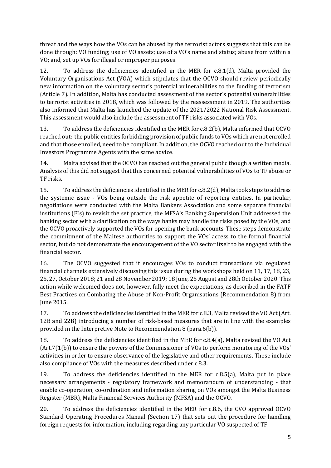threat and the ways how the VOs can be abused by the terrorist actors suggests that this can be done through: VO funding; use of VO assets; use of a VO's name and status; abuse from within a VO; and, set up VOs for illegal or improper purposes.

12. To address the deficiencies identified in the MER for c.8.1(d), Malta provided the Voluntary Organisations Act (VOA) which stipulates that the OCVO should review periodically new information on the voluntary sector's potential vulnerabilities to the funding of terrorism (Article 7). In addition, Malta has conducted assessment of the sector's potential vulnerabilities to terrorist activities in 2018, which was followed by the reassessment in 2019. The authorities also informed that Malta has launched the update of the 2021/2022 National Risk Assessment. This assessment would also include the assessment of TF risks associated with VOs.

13. To address the deficiencies identified in the MER for c.8.2(b), Malta informed that OCVO reached out: the public entities forbidding provision of public funds to VOs which are not enrolled and that those enrolled, need to be compliant. In addition, the OCVO reached out to the Individual Investors Programme Agents with the same advice.

14. Malta advised that the OCVO has reached out the general public though a written media. Analysis of this did not suggest that this concerned potential vulnerabilities of VOs to TF abuse or TF risks.

15. To address the deficiencies identified in the MER for c.8.2(d), Malta took steps to address the systemic issue - VOs being outside the risk appetite of reporting entities. In particular, negotiations were conducted with the Malta Bankers Association and some separate financial institutions (FIs) to revisit the set practice, the MFSA's Banking Supervision Unit addressed the banking sector with a clarification on the ways banks may handle the risks posed by the VOs, and the OCVO proactively supported the VOs for opening the bank accounts. These steps demonstrate the commitment of the Maltese authorities to support the VOs' access to the formal financial sector, but do not demonstrate the encouragement of the VO sector itself to be engaged with the financial sector.

16. The OCVO suggested that it encourages VOs to conduct transactions via regulated financial channels extensively discussing this issue during the workshops held on 11, 17, 18, 23, 25, 27, October 2018; 21 and 28 November 2019; 18 June, 25 August and 28th October 2020. This action while welcomed does not, however, fully meet the expectations, as described in the FATF Best Practices on Combating the Abuse of Non-Profit Organisations (Recommendation 8) from June 2015.

17. To address the deficiencies identified in the MER for c.8.3, Malta revised the VO Act (Art. 12B and 22B) introducing a number of risk-based measures that are in line with the examples provided in the Interpretive Note to Recommendation 8 (para.6(b)).

18. To address the deficiencies identified in the MER for c.8.4(a), Malta revised the VO Act (Art.7(1(b)) to ensure the powers of the Commissioner of VOs to perform monitoring of the VOs' activities in order to ensure observance of the legislative and other requirements. These include also compliance of VOs with the measures described under c.8.3.

19. To address the deficiencies identified in the MER for c.8.5(a), Malta put in place necessary arrangements - regulatory framework and memorandum of understanding - that enable co-operation, co-ordination and information sharing on VOs amongst the Malta Business Register (MBR), Malta Financial Services Authority (MFSA) and the OCVO.

20. To address the deficiencies identified in the MER for c.8.6, the CVO approved OCVO Standard Operating Procedures Manual (Section 17) that sets out the procedure for handling foreign requests for information, including regarding any particular VO suspected of TF.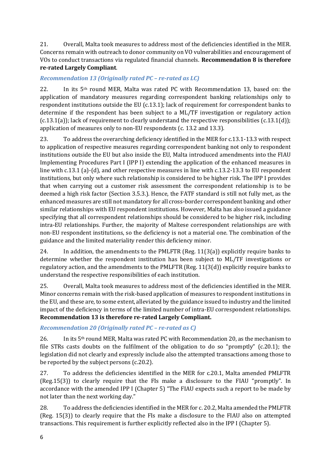21. Overall, Malta took measures to address most of the deficiencies identified in the MER. Concerns remain with outreach to donor community on VO vulnerabilities and encouragement of VOs to conduct transactions via regulated financial channels. **Recommendation 8 is therefore re-rated Largely Compliant**.

# *Recommendation 13 (Originally rated PC – re-rated as LC)*

22. In its 5th round MER, Malta was rated PC with Recommendation 13, based on: the application of mandatory measures regarding correspondent banking relationships only to respondent institutions outside the EU (c.13.1); lack of requirement for correspondent banks to determine if the respondent has been subject to a ML/TF investigation or regulatory action  $(c.13.1(a))$ ; lack of requirement to clearly understand the respective responsibilities  $(c.13.1(d))$ ; application of measures only to non-EU respondents (c. 13.2 and 13.3).

23. To address the overarching deficiency identified in the MER for c.13.1-13.3 with respect to application of respective measures regarding correspondent banking not only to respondent institutions outside the EU but also inside the EU, Malta introduced amendments into the FIAU Implementing Procedures Part I (IPP I) extending the application of the enhanced measures in line with c.13.1 (a)-(d), and other respective measures in line with c.13.2-13.3 to EU respondent institutions, but only where such relationship is considered to be higher risk. The IPP I provides that when carrying out a customer risk assessment the correspondent relationship is to be deemed a high risk factor (Section 3.5.3.). Hence, the FATF standard is still not fully met, as the enhanced measures are still not mandatory for all cross-border correspondent banking and other similar relationships with EU respondent institutions. However, Malta has also issued a guidance specifying that all correspondent relationships should be considered to be higher risk, including intra-EU relationships. Further, the majority of Maltese correspondent relationships are with non-EU respondent institutions, so the deficiency is not a material one. The combination of the guidance and the limited materiality render this deficiency minor.

24. In addition, the amendments to the PMLFTR (Reg.  $11(3(a))$ ) explicitly require banks to determine whether the respondent institution has been subject to ML/TF investigations or regulatory action, and the amendments to the PMLFTR (Reg. 11(3(d)) explicitly require banks to understand the respective responsibilities of each institution.

25. Overall, Malta took measures to address most of the deficiencies identified in the MER. Minor concerns remain with the risk-based application of measures to respondent institutions in the EU, and these are, to some extent, alleviated by the guidance issued to industry and the limited impact of the deficiency in terms of the limited number of intra-EU correspondent relationships. **Recommendation 13 is therefore re-rated Largely Compliant.**

# *Recommendation 20 (Originally rated PC – re-rated as C)*

26. In its  $5<sup>th</sup>$  round MER, Malta was rated PC with Recommendation 20, as the mechanism to file STRs casts doubts on the fulfilment of the obligation to do so "promptly" (c.20.1); the legislation did not clearly and expressly include also the attempted transactions among those to be reported by the subject persons (c.20.2).

27. To address the deficiencies identified in the MER for c.20.1, Malta amended PMLFTR (Reg.15(3)) to clearly require that the FIs make a disclosure to the FIAU "promptly". In accordance with the amended IPP I (Chapter 5) "The FIAU expects such a report to be made by not later than the next working day."

28. To address the deficiencies identified in the MER for c. 20.2, Malta amended the PMLFTR (Reg. 15(3)) to clearly require that the FIs make a disclosure to the FIAU also on attempted transactions. This requirement is further explicitly reflected also in the IPP I (Chapter 5).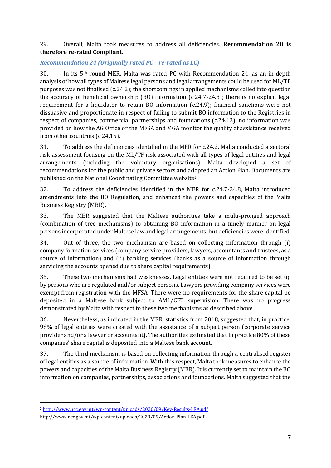29. Overall, Malta took measures to address all deficiencies. **Recommendation 20 is therefore re-rated Compliant.**

# *Recommendation 24 (Originally rated PC – re-rated as LC)*

30. In its 5th round MER, Malta was rated PC with Recommendation 24, as an in-depth analysis of how all types of Maltese legal persons and legal arrangements could be used for ML/TF purposes was not finalised (c.24.2); the shortcomings in applied mechanisms called into question the accuracy of beneficial ownership (BO) information (c.24.7-24.8); there is no explicit legal requirement for a liquidator to retain BO information (c.24.9); financial sanctions were not dissuasive and proportionate in respect of failing to submit BO information to the Registries in respect of companies, commercial partnerships and foundations (c.24.13); no information was provided on how the AG Office or the MFSA and MGA monitor the quality of assistance received from other countries (c.24.15).

31. To address the deficiencies identified in the MER for c.24.2, Malta conducted a sectoral risk assessment focusing on the ML/TF risk associated with all types of legal entities and legal arrangements (including the voluntary organisations). Malta developed a set of recommendations for the public and private sectors and adopted an Action Plan. Documents are published on the National Coordinating Committee website2.

32. To address the deficiencies identified in the MER for c.24.7-24.8, Malta introduced amendments into the BO Regulation, and enhanced the powers and capacities of the Malta Business Registry (MBR).

33. The MER suggested that the Maltese authorities take a multi-pronged approach (combination of tree mechanisms) to obtaining BO information in a timely manner on legal persons incorporated under Maltese law and legal arrangements, but deficiencies were identified.

34. Out of three, the two mechanism are based on collecting information through (i) company formation services (company service providers, lawyers, accountants and trustees, as a source of information) and (ii) banking services (banks as a source of information through servicing the accounts opened due to share capital requirements).

35. These two mechanisms had weaknesses. Legal entities were not required to be set up by persons who are regulated and/or subject persons. Lawyers providing company services were exempt from registration with the MFSA. There were no requirements for the share capital be deposited in a Maltese bank subject to AML/CFT supervision. There was no progress demonstrated by Malta with respect to these two mechanisms as described above.

36. Nevertheless, as indicated in the MER, statistics from 2018, suggested that, in practice, 98% of legal entities were created with the assistance of a subject person (corporate service provider and/or a lawyer or accountant). The authorities estimated that in practice 80% of these companies' share capital is deposited into a Maltese bank account.

37. The third mechanism is based on collecting information through a centralised register of legal entities as a source of information. With this respect, Malta took measures to enhance the powers and capacities of the Malta Business Registry (MBR). It is currently set to maintain the BO information on companies, partnerships, associations and foundations. Malta suggested that the

<sup>2</sup> <http://www.ncc.gov.mt/wp-content/uploads/2020/09/Key-Results-LEA.pdf>

<http://www.ncc.gov.mt/wp-content/uploads/2020/09/Action-Plan-LEA.pdf>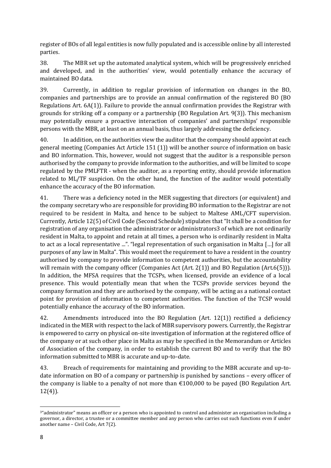register of BOs of all legal entities is now fully populated and is accessible online by all interested parties.

38. The MBR set up the automated analytical system, which will be progressively enriched and developed, and in the authorities' view, would potentially enhance the accuracy of maintained BO data.

39. Currently, in addition to regular provision of information on changes in the BO, companies and partnerships are to provide an annual confirmation of the registered BO (BO Regulations Art. 6A(1)). Failure to provide the annual confirmation provides the Registrar with grounds for striking off a company or a partnership (BO Regulation Art. 9(3)). This mechanism may potentially ensure a proactive interaction of companies' and partnerships' responsible persons with the MBR, at least on an annual basis, thus largely addressing the deficiency.

40. In addition, on the authorities view the auditor that the company should appoint at each general meeting (Companies Act Article 151 (1)) will be another source of information on basic and BO information. This, however, would not suggest that the auditor is a responsible person authorised by the company to provide information to the authorities, and will be limited to scope regulated by the PMLFTR - when the auditor, as a reporting entity, should provide information related to ML/TF suspicion. On the other hand, the function of the auditor would potentially enhance the accuracy of the BO information.

41. There was a deficiency noted in the MER suggesting that directors (or equivalent) and the company secretary who are responsible for providing BO information to the Registrar are not required to be resident in Malta, and hence to be subject to Maltese AML/CFT supervision. Currently, Article 12(5) of Civil Code (Second Schedule) stipulates that "It shall be a condition for registration of any organisation the administrator or administrators3 of which are not ordinarily resident in Malta, to appoint and retain at all times, a person who is ordinarily resident in Malta to act as a local representative ...". "legal representation of such organisation in Malta […] for all purposes of any law in Malta". This would meet the requirement to have a resident in the country authorised by company to provide information to competent authorities, but the accountability will remain with the company officer (Companies Act (Art. 2(1)) and BO Regulation (Art. 6(5))). In addition, the MFSA requires that the TCSPs, when licensed, provide an evidence of a local presence. This would potentially mean that when the TCSPs provide services beyond the company formation and they are authorised by the company, will be acting as a national contact point for provision of information to competent authorities. The function of the TCSP would potentially enhance the accuracy of the BO information.

42. Amendments introduced into the BO Regulation (Art. 12(1)) rectified a deficiency indicated in the MER with respect to the lack of MBR supervisory powers. Currently, the Registrar is empowered to carry on physical on-site investigation of information at the registered office of the company or at such other place in Malta as may be specified in the Memorandum or Articles of Association of the company, in order to establish the current BO and to verify that the BO information submitted to MBR is accurate and up-to-date.

43. Breach of requirements for maintaining and providing to the MBR accurate and up-todate information on BO of a company or partnership is punished by sanctions – every officer of the company is liable to a penalty of not more than  $\epsilon$ 100,000 to be payed (BO Regulation Art. 12(4)).

<sup>3</sup>"administrator" means an officer or a person who is appointed to control and administer an organisation including a governor, a director, a trustee or a committee member and any person who carries out such functions even if under another name – Civil Code, Art 7(2).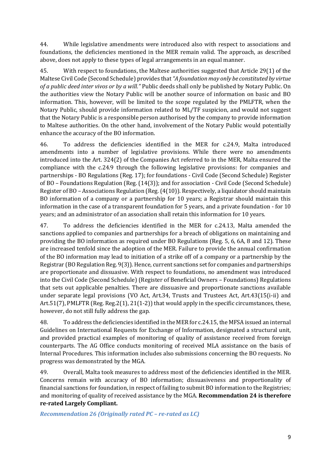44. While legislative amendments were introduced also with respect to associations and foundations, the deficiencies mentioned in the MER remain valid. The approach, as described above, does not apply to these types of legal arrangements in an equal manner.

45. With respect to foundations, the Maltese authorities suggested that Article 29(1) of the Maltese Civil Code (Second Schedule) provides that *"A foundation may only be constituted by virtue of a public deed inter vivos or by a will."* Public deeds shall only be published by Notary Public. On the authorities view the Notary Public will be another source of information on basic and BO information. This, however, will be limited to the scope regulated by the PMLFTR, when the Notary Public, should provide information related to ML/TF suspicion, and would not suggest that the Notary Public is a responsible person authorised by the company to provide information to Maltese authorities. On the other hand, involvement of the Notary Public would potentially enhance the accuracy of the BO information.

46. To address the deficiencies identified in the MER for c.24.9, Malta introduced amendments into a number of legislative provisions. While there were no amendments introduced into the Art. 324(2) of the Companies Act referred to in the MER, Malta ensured the compliance with the c.24.9 through the following legislative provisions: for companies and partnerships - BO Regulations (Reg. 17); for foundations - Civil Code (Second Schedule) Register of BO – Foundations Regulation (Reg. (14(3)); and for association - Civil Code (Second Schedule) Register of BO – Associations Regulation (Reg. (4(10)). Respectively, a liquidator should maintain BO information of a company or a partnership for 10 years; a Registrar should maintain this information in the case of a transparent foundation for 5 years, and a private foundation - for 10 years; and an administrator of an association shall retain this information for 10 years.

47. To address the deficiencies identified in the MER for c.24.13, Malta amended the sanctions applied to companies and partnerships for a breach of obligations on maintaining and providing the BO information as required under BO Regulations (Reg. 5, 6, 6A, 8 and 12). These are increased tenfold since the adoption of the MER. Failure to provide the annual confirmation of the BO information may lead to initiation of a strike off of a company or a partnership by the Registrar (BO Regulation Reg. 9(3)). Hence, current sanctions set for companies and partnerships are proportionate and dissuasive. With respect to foundations, no amendment was introduced into the Civil Code (Second Schedule) (Register of Beneficial Owners – Foundations) Regulations that sets out applicable penalties. There are dissuasive and proportionate sanctions available under separate legal provisions (VO Act, Art.34, Trusts and Trustees Act, Art.43(15(i-ii) and Art.51(7), PMLFTR (Reg. Reg.2(1), 21(1-2)) that would apply in the specific circumstances, these, however, do not still fully address the gap.

48. To address the deficiencies identified in the MER for c.24.15, the MFSA issued an internal Guidelines on International Requests for Exchange of Information, designated a structural unit, and provided practical examples of monitoring of quality of assistance received from foreign counterparts. The AG Office conducts monitoring of received MLA assistance on the basis of Internal Procedures. This information includes also submissions concerning the BO requests. No progress was demonstrated by the MGA.

49. Overall, Malta took measures to address most of the deficiencies identified in the MER. Concerns remain with accuracy of BO information; dissuasiveness and proportionality of financial sanctions for foundation, in respect of failing to submit BO information to the Registries; and monitoring of quality of received assistance by the MGA. **Recommendation 24 is therefore re-rated Largely Compliant.**

*Recommendation 26 (Originally rated PC – re-rated as LC)*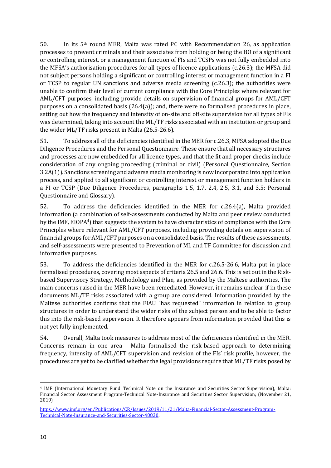50. In its 5th round MER, Malta was rated PC with Recommendation 26, as application processes to prevent criminals and their associates from holding or being the BO of a significant or controlling interest, or a management function of FIs and TCSPs was not fully embedded into the MFSA's authorisation procedures for all types of licence applications (c.26.3); the MFSA did not subject persons holding a significant or controlling interest or management function in a FI or TCSP to regular UN sanctions and adverse media screening (c.26.3); the authorities were unable to confirm their level of current compliance with the Core Principles where relevant for AML/CFT purposes, including provide details on supervision of financial groups for AML/CFT purposes on a consolidated basis (26.4(a)); and, there were no formalised procedures in place, setting out how the frequency and intensity of on-site and off-site supervision for all types of FIs was determined, taking into account the ML/TF risks associated with an institution or group and the wider ML/TF risks present in Malta (26.5-26.6).

51. To address all of the deficiencies identified in the MER for c.26.3, MFSA adopted the Due Diligence Procedures and the Personal Questionnaire. These ensure that all necessary structures and processes are now embedded for all licence types, and that the fit and proper checks include consideration of any ongoing proceeding (criminal or civil) (Personal Questionnaire, Section 3.2A(1)). Sanctions screening and adverse media monitoring is now incorporated into application process, and applied to all significant or controlling interest or management function holders in a FI or TCSP (Due Diligence Procedures, paragraphs 1.5, 1.7, 2.4, 2.5, 3.1, and 3.5; Personal Questionnaire and Glossary).

52. To address the deficiencies identified in the MER for c.26.4(a), Malta provided information (a combination of self-assessments conducted by Malta and peer review conducted by the IMF, EIOPA<sup>4</sup>) that suggests the system to have characteristics of compliance with the Core Principles where relevant for AML/CFT purposes, including providing details on supervision of financial groups for AML/CFT purposes on a consolidated basis. The results of these assessments, and self-assessments were presented to Prevention of ML and TF Committee for discussion and informative purposes.

53. To address the deficiencies identified in the MER for c.26.5-26.6, Malta put in place formalised procedures, covering most aspects of criteria 26.5 and 26.6. This is set out in the Riskbased Supervisory Strategy, Methodology and Plan, as provided by the Maltese authorities. The main concerns raised in the MER have been remediated. However, it remains unclear if in these documents ML/TF risks associated with a group are considered. Information provided by the Maltese authorities confirms that the FIAU "has requested" information in relation to group structures in order to understand the wider risks of the subject person and to be able to factor this into the risk-based supervision. It therefore appears from information provided that this is not yet fully implemented.

54. Overall, Malta took measures to address most of the deficiencies identified in the MER. Concerns remain in one area - Malta formalised the risk-based approach to determining frequency, intensity of AML/CFT supervision and revision of the FIs' risk profile, however, the procedures are yet to be clarified whether the legal provisions require that ML/TF risks posed by

<sup>4</sup> IMF (International Monetary Fund Technical Note on the Insurance and Securities Sector Supervision), Malta: Financial Sector Assessment Program-Technical Note-Insurance and Securities Sector Supervision; (November 21, 2019)

[https://www.imf.org/en/Publications/CR/Issues/2019/11/21/Malta-Financial-Sector-Assessment-Program-](https://www.imf.org/en/Publications/CR/Issues/2019/11/21/Malta-Financial-Sector-Assessment-Program-Technical-Note-Insurance-and-Securities-Sector-48830)[Technical-Note-Insurance-and-Securities-Sector-48830.](https://www.imf.org/en/Publications/CR/Issues/2019/11/21/Malta-Financial-Sector-Assessment-Program-Technical-Note-Insurance-and-Securities-Sector-48830)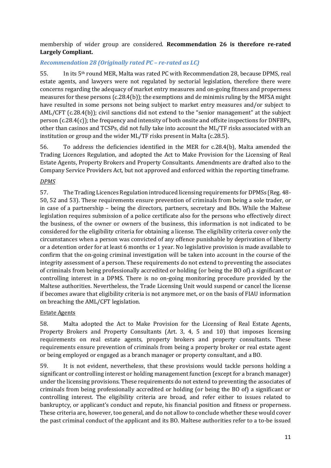# membership of wider group are considered. **Recommendation 26 is therefore re-rated Largely Compliant.**

# *Recommendation 28 (Originally rated PC – re-rated as LC)*

55. In its 5th round MER, Malta was rated PC with Recommendation 28, because DPMS, real estate agents, and lawyers were not regulated by sectorial legislation, therefore there were concerns regarding the adequacy of market entry measures and on-going fitness and properness measures for these persons (c.28.4(b)); the exemptions and de minimis ruling by the MFSA might have resulted in some persons not being subject to market entry measures and/or subject to AML/CFT (c.28.4(b)); civil sanctions did not extend to the "senior management" at the subject person (c.28.4(c)); the frequency and intensity of both onsite and offsite inspections for DNFBPs, other than casinos and TCSPs, did not fully take into account the ML/TF risks associated with an institution or group and the wider ML/TF risks present in Malta (c.28.5).

56. To address the deficiencies identified in the MER for c.28.4(b), Malta amended the Trading Licences Regulation, and adopted the Act to Make Provision for the Licensing of Real Estate Agents, Property Brokers and Property Consultants. Amendments are drafted also to the Company Service Providers Act, but not approved and enforced within the reporting timeframe.

# *DPMS*

57. The Trading Licences Regulation introduced licensing requirements for DPMSs (Reg. 48- 50, 52 and 53). These requirements ensure prevention of criminals from being a sole trader, or in case of a partnership – being the directors, partners, secretary and BOs. While the Maltese legislation requires submission of a police certificate also for the persons who effectively direct the business, of the owner or owners of the business, this information is not indicated to be considered for the eligibility criteria for obtaining a license. The eligibility criteria cover only the circumstances when a person was convicted of any offence punishable by deprivation of liberty or a detention order for at least 6 months or 1 year. No legislative provision is made available to confirm that the on-going criminal investigation will be taken into account in the course of the integrity assessment of a person. These requirements do not extend to preventing the associates of criminals from being professionally accredited or holding (or being the BO of) a significant or controlling interest in a DPMS. There is no on-going monitoring procedure provided by the Maltese authorities. Nevertheless, the Trade Licensing Unit would suspend or cancel the license if becomes aware that eligibility criteria is not anymore met, or on the basis of FIAU information on breaching the AML/CFT legislation.

#### Estate Agents

58. Malta adopted the Act to Make Provision for the Licensing of Real Estate Agents, Property Brokers and Property Consultants (Art. 3, 4, 5 and 10) that imposes licensing requirements on real estate agents, property brokers and property consultants. These requirements ensure prevention of criminals from being a property broker or real estate agent or being employed or engaged as a branch manager or property consultant, and a BO.

59. It is not evident, nevertheless, that these provisions would tackle persons holding a significant or controlling interest or holding management function (except for a branch manager) under the licensing provisions. These requirements do not extend to preventing the associates of criminals from being professionally accredited or holding (or being the BO of) a significant or controlling interest. The eligibility criteria are broad, and refer either to issues related to bankruptcy, or applicant's conduct and repute, his financial position and fitness or properness. These criteria are, however, too general, and do not allow to conclude whether these would cover the past criminal conduct of the applicant and its BO. Maltese authorities refer to a to-be issued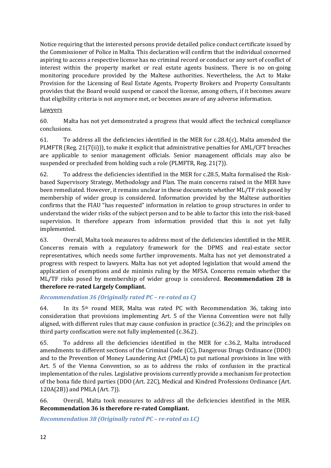Notice requiring that the interested persons provide detailed police conduct certificate issued by the Commissioner of Police in Malta. This declaration will confirm that the individual concerned aspiring to access a respective license has no criminal record or conduct or any sort of conflict of interest within the property market or real estate agents business. There is no on-going monitoring procedure provided by the Maltese authorities. Nevertheless, the Act to Make Provision for the Licensing of Real Estate Agents, Property Brokers and Property Consultants provides that the Board would suspend or cancel the license, among others, if it becomes aware that eligibility criteria is not anymore met, or becomes aware of any adverse information.

### Lawyers

60. Malta has not yet demonstrated a progress that would affect the technical compliance conclusions.

61. To address all the deficiencies identified in the MER for c.28.4(c), Malta amended the PLMFTR (Reg. 21(7(ii))), to make it explicit that administrative penalties for AML/CFT breaches are applicable to senior management officials. Senior management officials may also be suspended or precluded from holding such a role (PLMFTR, Reg. 21(7)).

62. To address the deficiencies identified in the MER for c.28.5, Malta formalised the Riskbased Supervisory Strategy, Methodology and Plan. The main concerns raised in the MER have been remediated. However, it remains unclear in these documents whether ML/TF risk posed by membership of wider group is considered. Information provided by the Maltese authorities confirms that the FIAU "has requested" information in relation to group structures in order to understand the wider risks of the subject person and to be able to factor this into the risk-based supervision. It therefore appears from information provided that this is not yet fully implemented.

63. Overall, Malta took measures to address most of the deficiencies identified in the MER. Concerns remain with a regulatory framework for the DPMS and real-estate sector representatives, which needs some further improvements. Malta has not yet demonstrated a progress with respect to lawyers. Malta has not yet adopted legislation that would amend the application of exemptions and de minimis ruling by the MFSA. Concerns remain whether the ML/TF risks posed by membership of wider group is considered. **Recommendation 28 is therefore re-rated Largely Compliant.**

*Recommendation 36 (Originally rated PC – re-rated as C)*

64. In its  $5<sup>th</sup>$  round MER, Malta was rated PC with Recommendation 36, taking into consideration that provisions implementing Art. 5 of the Vienna Convention were not fully aligned, with different rules that may cause confusion in practice (c.36.2); and the principles on third party confiscation were not fully implemented (c.36.2).

65. To address all the deficiencies identified in the MER for c.36.2, Malta introduced amendments to different sections of the Criminal Code (CC), Dangerous Drugs Ordinance (DDO) and to the Prevention of Money Laundering Act (PMLA) to put national provisions in line with Art. 5 of the Vienna Convention, so as to address the risks of confusion in the practical implementation of the rules. Legislative provisions currently provide a mechanism for protection of the bona fide third parties (DDO (Art. 22C), Medical and Kindred Professions Ordinance (Art. 120A(2B)) and PMLA (Art. 7)).

66. Overall, Malta took measures to address all the deficiencies identified in the MER. **Recommendation 36 is therefore re-rated Compliant.**

*Recommendation 38 (Originally rated PC – re-rated as LC)*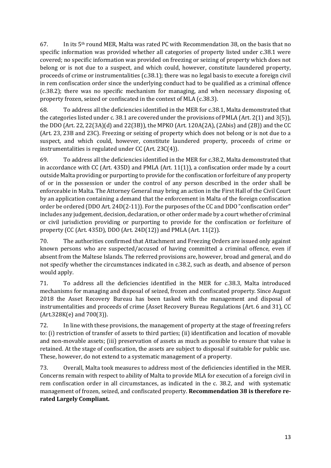67. In its  $5<sup>th</sup>$  round MER, Malta was rated PC with Recommendation 38, on the basis that no specific information was provided whether all categories of property listed under c.38.1 were covered; no specific information was provided on freezing or seizing of property which does not belong or is not due to a suspect, and which could, however, constitute laundered property, proceeds of crime or instrumentalities (c.38.1); there was no legal basis to execute a foreign civil in rem confiscation order since the underlying conduct had to be qualified as a criminal offence (c.38.2); there was no specific mechanism for managing, and when necessary disposing of, property frozen, seized or confiscated in the context of MLA (c.38.3).

68. To address all the deficiencies identified in the MER for c.38.1, Malta demonstrated that the categories listed under c. 38.1 are covered under the provisions of PMLA (Art. 2(1) and 3(5)), the DDO (Art. 22, 22(3A)(d) and 22(3B)), the MPKO (Art. 120A(2A), (2Abis) and (2B)) and the CC (Art. 23, 23B and 23C). Freezing or seizing of property which does not belong or is not due to a suspect, and which could, however, constitute laundered property, proceeds of crime or instrumentalities is regulated under CC (Art. 23C(4)).

69. To address all the deficiencies identified in the MER for c.38.2, Malta demonstrated that in accordance with CC (Art.  $435D$ ) and PMLA (Art.  $11(1)$ ), a confiscation order made by a court outside Malta providing or purporting to provide for the confiscation or forfeiture of any property of or in the possession or under the control of any person described in the order shall be enforceable in Malta. The Attorney General may bring an action in the First Hall of the Civil Court by an application containing a demand that the enforcement in Malta of the foreign confiscation order be ordered (DDO Art. 24D(2-11)). For the purposes of the CC and DDO "confiscation order" includes any judgement, decision, declaration, or other order made by a court whether of criminal or civil jurisdiction providing or purporting to provide for the confiscation or forfeiture of property (CC (Art. 435D), DDO (Art. 24D(12)) and PMLA (Art. 11(2)).

70. The authorities confirmed that Attachment and Freezing Orders are issued only against known persons who are suspected/accused of having committed a criminal offence, even if absent from the Maltese Islands. The referred provisions are, however, broad and general, and do not specify whether the circumstances indicated in c.38.2, such as death, and absence of person would apply.

71. To address all the deficiencies identified in the MER for c.38.3, Malta introduced mechanisms for managing and disposal of seized, frozen and confiscated property. Since August 2018 the Asset Recovery Bureau has been tasked with the management and disposal of instrumentalities and proceeds of crime (Asset Recovery Bureau Regulations (Art. 6 and 31), CC (Art.328K(e) and 700(3)).

72. In line with these provisions, the management of property at the stage of freezing refers to: (i) restriction of transfer of assets to third parties; (ii) identification and location of movable and non-movable assets; (iii) preservation of assets as much as possible to ensure that value is retained. At the stage of confiscation, the assets are subject to disposal if suitable for public use. These, however, do not extend to a systematic management of a property.

73. Overall, Malta took measures to address most of the deficiencies identified in the MER. Concerns remain with respect to ability of Malta to provide MLA for execution of a foreign civil in rem confiscation order in all circumstances, as indicated in the c. 38.2, and with systematic management of frozen, seized, and confiscated property. **Recommendation 38 is therefore rerated Largely Compliant.**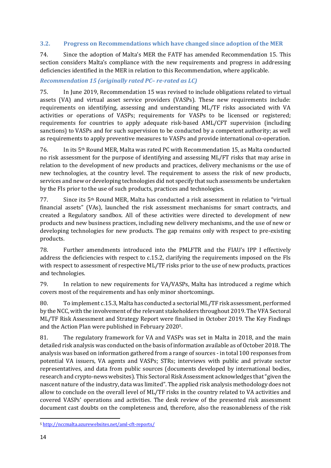### **3.2. Progress on Recommendations which have changed since adoption of the MER**

74. Since the adoption of Malta's MER the FATF has amended Recommendation 15. This section considers Malta's compliance with the new requirements and progress in addressing deficiencies identified in the MER in relation to this Recommendation, where applicable.

### *Recommendation 15 (originally rated PC– re-rated as LC)*

75. In June 2019, Recommendation 15 was revised to include obligations related to virtual assets (VA) and virtual asset service providers (VASPs). These new requirements include: requirements on identifying, assessing and understanding ML/TF risks associated with VA activities or operations of VASPs; requirements for VASPs to be licensed or registered; requirements for countries to apply adequate risk-based AML/CFT supervision (including sanctions) to VASPs and for such supervision to be conducted by a competent authority; as well as requirements to apply preventive measures to VASPs and provide international co-operation.

76. In its 5th Round MER, Malta was rated PC with Recommendation 15, as Malta conducted no risk assessment for the purpose of identifying and assessing ML/FT risks that may arise in relation to the development of new products and practices, delivery mechanisms or the use of new technologies, at the country level. The requirement to assess the risk of new products, services and new or developing technologies did not specify that such assessments be undertaken by the FIs prior to the use of such products, practices and technologies.

77. Since its 5th Round MER, Malta has conducted a risk assessment in relation to "virtual financial assets" (VAs), launched the risk assessment mechanisms for smart contracts, and created a Regulatory sandbox. All of these activities were directed to development of new products and new business practices, including new delivery mechanisms, and the use of new or developing technologies for new products. The gap remains only with respect to pre-existing products.

78. Further amendments introduced into the PMLFTR and the FIAU's IPP I effectively address the deficiencies with respect to c.15.2, clarifying the requirements imposed on the FIs with respect to assessment of respective ML/TF risks prior to the use of new products, practices and technologies.

79. In relation to new requirements for VA/VASPs, Malta has introduced a regime which covers most of the requirements and has only minor shortcomings.

80. To implement c.15.3, Malta has conducted a sectorial ML/TF risk assessment, performed by the NCC, with the involvement of the relevant stakeholders throughout 2019. The VFA Sectoral ML/TF Risk Assessment and Strategy Report were finalised in October 2019. The Key Findings and the Action Plan were published in February 20205.

81. The regulatory framework for VA and VASPs was set in Malta in 2018, and the main detailed risk analysis was conducted on the basis of information available as of October 2018. The analysis was based on information gathered from a range of sources - in total 100 responses from potential VA issuers, VA agents and VASPs; STRs; interviews with public and private sector representatives, and data from public sources (documents developed by international bodies, research and crypto-news websites). This Sectoral Risk Assessment acknowledges that "given the nascent nature of the industry, data was limited". The applied risk analysis methodology does not allow to conclude on the overall level of ML/TF risks in the country related to VA activities and covered VASPs' operations and activities. The desk review of the presented risk assessment document cast doubts on the completeness and, therefore, also the reasonableness of the risk

<sup>5</sup> <http://nccmalta.azurewebsites.net/aml-cft-reports/>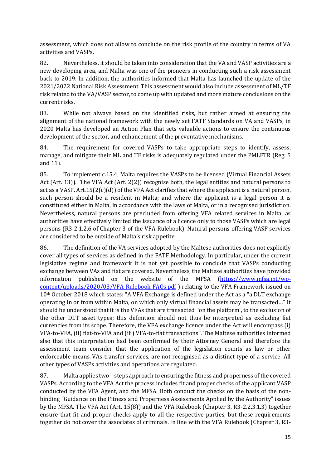assessment, which does not allow to conclude on the risk profile of the country in terms of VA activities and VASPs.

82. Nevertheless, it should be taken into consideration that the VA and VASP activities are a new developing area, and Malta was one of the pioneers in conducting such a risk assessment back to 2019. In addition, the authorities informed that Malta has launched the update of the 2021/2022 National Risk Assessment. This assessment would also include assessment of ML/TF risk related to the VA/VASP sector, to come up with updated and more mature conclusions on the current risks.

83. While not always based on the identified risks, but rather aimed at ensuring the alignment of the national framework with the newly set FATF Standards on VA and VASPs, in 2020 Malta has developed an Action Plan that sets valuable actions to ensure the continuous development of the sector, and enhancement of the preventative mechanisms.

84. The requirement for covered VASPs to take appropriate steps to identify, assess, manage, and mitigate their ML and TF risks is adequately regulated under the PMLFTR (Reg. 5 and 11).

85. To implement c.15.4, Malta requires the VASPs to be licensed (Virtual Financial Assets Act (Art. 13)). The VFA Act (Art. 2(2)) recognise both, the legal entities and natural persons to act as a VASP. Art.15( $2(c)$ (d)) of the VFA Act clarifies that where the applicant is a natural person, such person should be a resident in Malta; and where the applicant is a legal person it is constituted either in Malta, in accordance with the laws of Malta, or in a recognised jurisdiction. Nevertheless, natural persons are precluded from offering VFA related services in Malta, as authorities have effectively limited the issuance of a licence only to those VASPs which are legal persons (R3-2.1.2.6 of Chapter 3 of the VFA Rulebook). Natural persons offering VASP services are considered to be outside of Malta's risk appetite.

86. The definition of the VA services adopted by the Maltese authorities does not explicitly cover all types of services as defined in the FATF Methodology. In particular, under the current legislative regime and framework it is not yet possible to conclude that VASPs conducting exchange between VAs and fiat are covered. Nevertheless, the Maltese authorities have provided information published on the website of the MFSA [\(https://www.mfsa.mt/wp](https://eur02.safelinks.protection.outlook.com/?url=https%3A%2F%2Fwww.mfsa.mt%2Fwp-content%2Fuploads%2F2020%2F03%2FVFA-Rulebook-FAQs.pdf&data=04%7C01%7C%7C631d9599c53b45cf91c508d9116fcb07%7C2b5615117ddf495c8164f56ae776c54a%7C0%7C0%7C637559994549850266%7CUnknown%7CTWFpbGZsb3d8eyJWIjoiMC4wLjAwMDAiLCJQIjoiV2luMzIiLCJBTiI6Ik1haWwiLCJXVCI6Mn0%3D%7C1000&sdata=DY%2F0kApBnNIvQhGs1zcJbQJLioMIrYnZmnihuY01vm0%3D&reserved=0)[content/uploads/2020/03/VFA-Rulebook-FAQs.pdf](https://eur02.safelinks.protection.outlook.com/?url=https%3A%2F%2Fwww.mfsa.mt%2Fwp-content%2Fuploads%2F2020%2F03%2FVFA-Rulebook-FAQs.pdf&data=04%7C01%7C%7C631d9599c53b45cf91c508d9116fcb07%7C2b5615117ddf495c8164f56ae776c54a%7C0%7C0%7C637559994549850266%7CUnknown%7CTWFpbGZsb3d8eyJWIjoiMC4wLjAwMDAiLCJQIjoiV2luMzIiLCJBTiI6Ik1haWwiLCJXVCI6Mn0%3D%7C1000&sdata=DY%2F0kApBnNIvQhGs1zcJbQJLioMIrYnZmnihuY01vm0%3D&reserved=0) ) relating to the VFA Framework issued on 10<sup>th</sup> October 2018 which states: "A VFA Exchange is defined under the Act as a "a DLT exchange operating in or from within Malta, on which only virtual financial assets may be transacted…" It should be understood that it is the VFAs that are transacted 'on the platform', to the exclusion of the other DLT asset types; this definition should not thus be interpreted as excluding fiat currencies from its scope. Therefore, the VFA exchange licence under the Act will encompass (i) VFA-to-VFA, (ii) fiat-to-VFA and (iii) VFA-to-fiat transactions". The Maltese authorities informed also that this interpretation had been confirmed by their Attorney General and therefore the assessment team consider that the application of the legislation counts as law or other enforceable means. VAs transfer services, are not recognised as a distinct type of a service. All other types of VASPs activities and operations are regulated.

87. Malta applies two – steps approach to ensuring the fitness and properness of the covered VASPs. According to the VFA Act the process includes fit and proper checks of the applicant VASP conducted by the VFA Agent, and the MFSA. Both conduct the checks on the basis of the nonbinding "Guidance on the Fitness and Properness Assessments Applied by the Authority" issues by the MFSA. The VFA Act (Art. 15(8)) and the VFA Rulebook (Chapter 3, R3-2.2.3.1.3) together ensure that fit and proper checks apply to all the respective parties, but these requirements together do not cover the associates of criminals. In line with the VFA Rulebook (Chapter 3, R3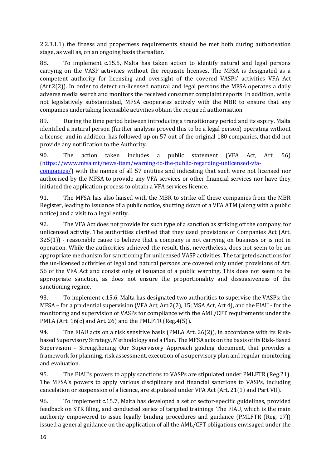2.2.3.1.1) the fitness and properness requirements should be met both during authorisation stage, as well as, on an ongoing basis thereafter.

88. To implement c.15.5, Malta has taken action to identify natural and legal persons carrying on the VASP activities without the requisite licenses. The MFSA is designated as a competent authority for licensing and oversight of the covered VASPs' activities VFA Act (Art.2(2)). In order to detect un-licensed natural and legal persons the MFSA operates a daily adverse media search and monitors the received consumer complaint reports. In addition, while not legislatively substantiated, MFSA cooperates actively with the MBR to ensure that any companies undertaking licensable activities obtain the required authorisation.

89. During the time period between introducing a transitionary period and its expiry, Malta identified a natural person (further analysis proved this to be a legal person) operating without a license, and in addition, has followed up on 57 out of the original 180 companies, that did not provide any notification to the Authority.

90. The action taken includes a public statement (VFA Act, Art. 56) [\(https://www.mfsa.mt/news-item/warning-to-the-public-regarding-unlicensed-vfa](https://www.mfsa.mt/news-item/warning-to-the-public-regarding-unlicensed-vfa-companies/)[companies/\)](https://www.mfsa.mt/news-item/warning-to-the-public-regarding-unlicensed-vfa-companies/) with the names of all 57 entities and indicating that such were not licensed nor authorised by the MFSA to provide any VFA services or other financial services nor have they initiated the application process to obtain a VFA services licence.

91. The MFSA has also liaised with the MBR to strike off these companies from the MBR Register, leading to issuance of a public notice, shutting down of a VFA ATM (along with a public notice) and a visit to a legal entity.

92. The VFA Act does not provide for such type of a sanction as striking off the company, for unlicensed activity. The authorities clarified that they used provisions of Companies Act (Art.  $325(1)$ ) - reasonable cause to believe that a company is not carrying on business or is not in operation. While the authorities achieved the result, this, nevertheless, does not seem to be an appropriate mechanism for sanctioning for unlicensed VASP activities. The targeted sanctions for the un-licensed activities of legal and natural persons are covered only under provisions of Art. 56 of the VFA Act and consist only of issuance of a public warning. This does not seem to be appropriate sanction, as does not ensure the proportionality and dissuasiveness of the sanctioning regime.

93. To implement c.15.6, Malta has designated two authorities to supervise the VASPs: the MFSA – for a prudential supervision (VFA Act, Art.2(2), 15; MSA Act, Art 4), and the FIAU - for the monitoring and supervision of VASPs for compliance with the AML/CFT requirements under the PMLA (Art. 16(c) and Art. 26) and the PMLFTR (Reg.4(5)).

94. The FIAU acts on a risk sensitive basis (PMLA Art. 26(2)), in accordance with its Riskbased Supervisory Strategy, Methodology and a Plan. The MFSA acts on the basis of its Risk-Based Supervision - Strengthening Our Supervisory Approach guiding document, that provides a framework for planning, risk assessment, execution of a supervisory plan and regular monitoring and evaluation.

95. The FIAU's powers to apply sanctions to VASPs are stipulated under PMLFTR (Reg.21). The MFSA's powers to apply various disciplinary and financial sanctions to VASPs, including cancelation or suspension of a licence, are stipulated under VFA Act (Art. 21(1) and Part VII).

96. To implement c.15.7, Malta has developed a set of sector-specific guidelines, provided feedback on STR filing, and conducted series of targeted trainings. The FIAU, which is the main authority empowered to issue legally binding procedures and guidance (PMLFTR (Reg. 17)) issued a general guidance on the application of all the AML/CFT obligations envisaged under the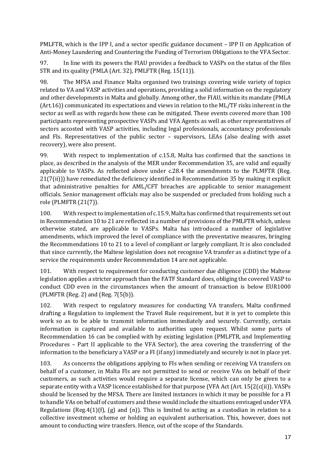PMLFTR, which is the IPP I, and a sector specific guidance document – IPP II on Application of Anti-Money Laundering and Countering the Funding of Terrorism Obligations to the VFA Sector.

97. In line with its powers the FIAU provides a feedback to VASPs on the status of the files STR and its quality (PMLA (Art. 32), PMLFTR (Reg. 15(11)).

98. The MFSA and Finance Malta organised two trainings covering wide variety of topics related to VA and VASP activities and operations, providing a solid information on the regulatory and other developments in Malta and globally. Among other, the FIAU, within its mandate (PMLA (Art.16)) communicated its expectations and views in relation to the ML/TF risks inherent in the sector as well as with regards how these can be mitigated. These events covered more than 100 participants representing prospective VASPs and VFA Agents as well as other representatives of sectors accosted with VASP activities, including legal professionals, accountancy professionals and FIs. Representatives of the public sector – supervisors, LEAs (also dealing with asset recovery), were also present.

99. With respect to implementation of c.15.8, Malta has confirmed that the sanctions in place, as described in the analysis of the MER under Recommendation 35, are valid and equally applicable to VASPs. As reflected above under c.28.4 the amendments to the PLMFTR (Reg. 21(7(ii))) have remediated the deficiency identified in Recommendation 35 by making it explicit that administrative penalties for AML/CFT breaches are applicable to senior management officials. Senior management officials may also be suspended or precluded from holding such a role (PLMFTR (21(7)).

100. With respect to implementation of c.15.9, Malta has confirmed that requirements set out in Recommendation 10 to 21 are reflected in a number of provisions of the PMLFTR which, unless otherwise stated, are applicable to VASPs. Malta has introduced a number of legislative amendments, which improved the level of compliance with the preventative measures, bringing the Recommendations 10 to 21 to a level of compliant or largely compliant. It is also concluded that since currently, the Maltese legislation does not recognise VA transfer as a distinct type of a service the requirements under Recommendation 14 are not applicable.

101. With respect to requirement for conducting customer due diligence (CDD) the Maltese legislation applies a stricter approach than the FATF Standard does, obliging the covered VASP to conduct CDD even in the circumstances when the amount of transaction is below EUR1000 (PLMFTR (Reg. 2) and (Reg. 7(5(b)).

102. With respect to regulatory measures for conducting VA transfers, Malta confirmed drafting a Regulation to implement the Travel Rule requirement, but it is yet to complete this work so as to be able to transmit information immediately and securely. Currently, certain information is captured and available to authorities upon request. Whilst some parts of Recommendation 16 can be complied with by existing legislation (PMLFTR, and Implementing Procedures – Part II applicable to the VFA Sector), the area covering the transferring of the information to the beneficiary a VASP or a FI (if any) immediately and securely is not in place yet.

103. As concerns the obligations applying to FIs when sending or receiving VA transfers on behalf of a customer, in Malta FIs are not permitted to send or receive VAs on behalf of their customers, as such activities would require a separate license, which can only be given to a separate entity with a VASP licence established for that purpose (VFA Act (Art. 15(2(c(ii)). VASPs should be licensed by the MFSA. There are limited instances in which it may be possible for a FI to handle VAs on behalf of customers and these would include the situations envisaged under VFA Regulations (Reg.4(1)(f), (g) and (n)). This is limited to acting as a custodian in relation to a collective investment scheme or holding an equivalent authorisation. This, however, does not amount to conducting wire transfers. Hence, out of the scope of the Standards.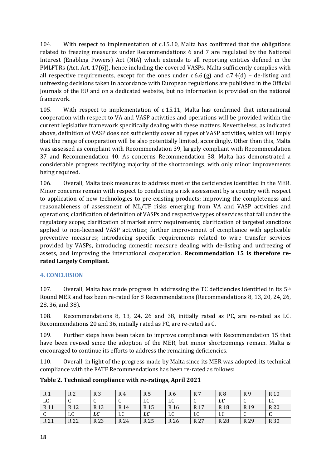104. With respect to implementation of c.15.10, Malta has confirmed that the obligations related to freezing measures under Recommendations 6 and 7 are regulated by the National Interest (Enabling Powers) Act (NIA) which extends to all reporting entities defined in the PMLFTRs (Act. Art. 17(6)), hence including the covered VASPs. Malta sufficiently complies with all respective requirements, except for the ones under c.6.6.(g) and c.7.4(d) – de-listing and unfreezing decisions taken in accordance with European regulations are published in the Official Journals of the EU and on a dedicated website, but no information is provided on the national framework.

105. With respect to implementation of c.15.11, Malta has confirmed that international cooperation with respect to VA and VASP activities and operations will be provided within the current legislative framework specifically dealing with these matters. Nevertheless, as indicated above, definition of VASP does not sufficiently cover all types of VASP activities, which will imply that the range of cooperation will be also potentially limited, accordingly. Other than this, Malta was assessed as compliant with Recommendation 39, largely compliant with Recommendation 37 and Recommendation 40. As concerns Recommendation 38, Malta has demonstrated a considerable progress rectifying majority of the shortcomings, with only minor improvements being required.

106. Overall, Malta took measures to address most of the deficiencies identified in the MER. Minor concerns remain with respect to conducting a risk assessment by a country with respect to application of new technologies to pre-existing products; improving the completeness and reasonableness of assessment of ML/TF risks emerging from VA and VASP activities and operations; clarification of definition of VASPs and respective types of services that fall under the regulatory scope; clarification of market entry requirements; clarification of targeted sanctions applied to non-licensed VASP activities; further improvement of compliance with applicable preventive measures; introducing specific requirements related to wire transfer services provided by VASPs, introducing domestic measure dealing with de-listing and unfreezing of assets, and improving the international cooperation. **Recommendation 15 is therefore rerated Largely Compliant**.

#### **4. CONCLUSION**

107. Overall, Malta has made progress in addressing the TC deficiencies identified in its  $5<sup>th</sup>$ Round MER and has been re-rated for 8 Recommendations (Recommendations 8, 13, 20, 24, 26, 28, 36, and 38).

108. Recommendations 8, 13, 24, 26 and 38, initially rated as PC, are re-rated as LC. Recommendations 20 and 36, initially rated as PC, are re-rated as C.

109. Further steps have been taken to improve compliance with Recommendation 15 that have been revised since the adoption of the MER, but minor shortcomings remain. Malta is encouraged to continue its efforts to address the remaining deficiencies.

110. Overall, in light of the progress made by Malta since its MER was adopted, its technical compliance with the FATF Recommendations has been re-rated as follows:

**Table 2. Technical compliance with re-ratings, April 2021**

| R 1             | R 2             | R <sub>3</sub>  | R 4             | R 5  | R <sub>6</sub>  | R 7             | R <sub>8</sub>  | R9              | R 10            |
|-----------------|-----------------|-----------------|-----------------|------|-----------------|-----------------|-----------------|-----------------|-----------------|
| LC              | ີ               | $\sqrt{ }$<br>◡ | $\sqrt{2}$<br>U | LC   | LC              | $\sqrt{ }$<br>◡ | LC              | $\sqrt{2}$<br>ີ | LC              |
| R 11            | R <sub>12</sub> | R <sub>13</sub> | R 14            | R 15 | R <sub>16</sub> | R <sub>17</sub> | R <sub>18</sub> | R <sub>19</sub> | R 20            |
| $\sqrt{ }$<br>◡ | LC              | LC              | LC              | LC   | LC              | LC              | LC              | ◡               | $\sqrt{ }$<br>u |
| R 21            | R 22            | R 23            | R 24            | R 25 | R 26            | R 27            | R 28            | R 29            | R 30            |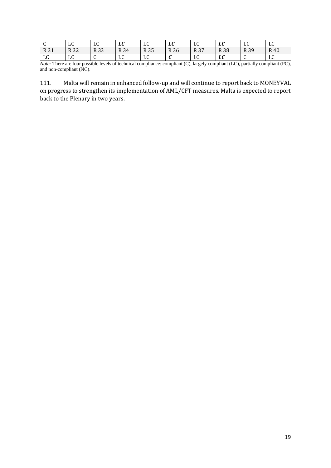| ົບ.                | $\mathbf{r}$<br>പ്പ          | $\mathbf{r}$<br>പ്പ | ^ י<br>LU        | $\sim$<br>പ്പ | $\mathbf{r}$<br>ᆈ             | LC   | $\mathbf{r}$<br>LL | $\mathbf{r}$ $\alpha$<br>ыu | $\mathbf{r}$<br>പ്പ         |
|--------------------|------------------------------|---------------------|------------------|---------------|-------------------------------|------|--------------------|-----------------------------|-----------------------------|
| R 31               | ככם<br>N 34                  | R 33                | R 34             | R 35          | R 36                          | R 37 | <b>R38</b>         | R 39                        | R 40                        |
| $\mathbf{L}$<br>ШU | $\mathbf{r}$ $\alpha$<br>പ്പ | $\sim$<br>◡         | $\sqrt{ }$<br>LС | $\sim$<br>പ്പ | $\overline{\phantom{a}}$<br>u | LC   | LC                 | ◡                           | $\mathbf{r}$ $\alpha$<br>பு |

*Note:* There are four possible levels of technical compliance: compliant (C), largely compliant (LC), partially compliant (PC), and non-compliant (NC).

111. Malta will remain in enhanced follow-up and will continue to report back to MONEYVAL on progress to strengthen its implementation of AML/CFT measures. Malta is expected to report back to the Plenary in two years.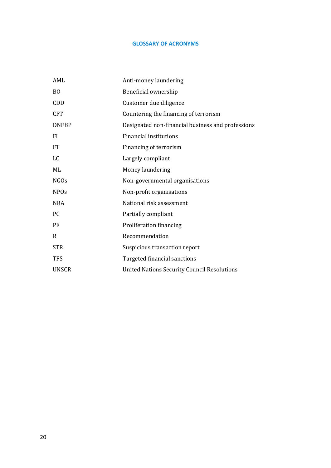#### **GLOSSARY OF ACRONYMS**

| AML           | Anti-money laundering                              |
|---------------|----------------------------------------------------|
| <sub>BO</sub> | Beneficial ownership                               |
| CDD           | Customer due diligence                             |
| <b>CFT</b>    | Countering the financing of terrorism              |
| <b>DNFBP</b>  | Designated non-financial business and professions  |
| FI            | <b>Financial institutions</b>                      |
| <b>FT</b>     | Financing of terrorism                             |
| LC            | Largely compliant                                  |
| ML            | Money laundering                                   |
| <b>NGOs</b>   | Non-governmental organisations                     |
| <b>NPOs</b>   | Non-profit organisations                           |
| <b>NRA</b>    | National risk assessment                           |
| <b>PC</b>     | Partially compliant                                |
| PF            | Proliferation financing                            |
| R             | Recommendation                                     |
| <b>STR</b>    | Suspicious transaction report                      |
| <b>TFS</b>    | Targeted financial sanctions                       |
| UNSCR         | <b>United Nations Security Council Resolutions</b> |